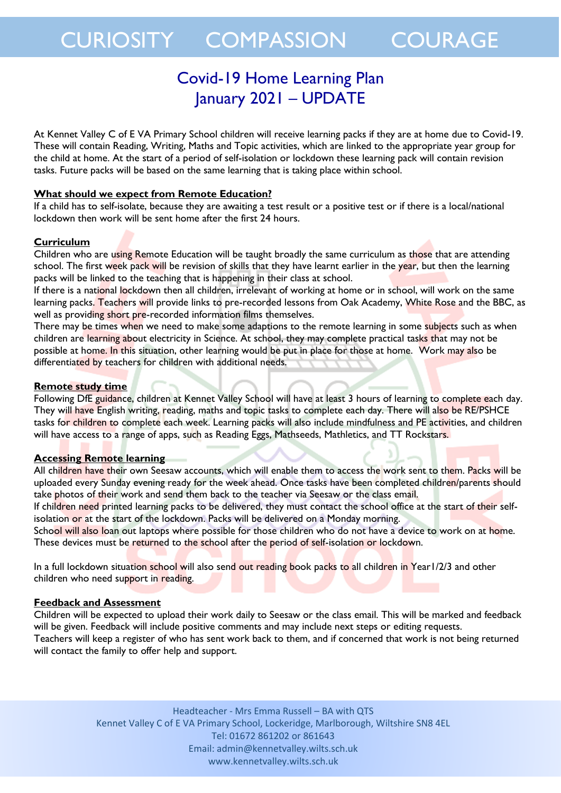## CURIOSITY COMPASSION COURAGE

### Covid-19 Home Learning Plan January 2021 – UPDATE

At Kennet Valley C of E VA Primary School children will receive learning packs if they are at home due to Covid-19. These will contain Reading, Writing, Maths and Topic activities, which are linked to the appropriate year group for the child at home. At the start of a period of self-isolation or lockdown these learning pack will contain revision tasks. Future packs will be based on the same learning that is taking place within school.

### **What should we expect from Remote Education?**

If a child has to self-isolate, because they are awaiting a test result or a positive test or if there is a local/national lockdown then work will be sent home after the first 24 hours.

### **Curriculum**

Children who are using Remote Education will be taught broadly the same curriculum as those that are attending school. The first week pack will be revision of skills that they have learnt earlier in the year, but then the learning packs will be linked to the teaching that is happening in their class at school.

If there is a national lockdown then all children, irrelevant of working at home or in school, will work on the same learning packs. Teachers will provide links to pre-recorded lessons from Oak Academy, White Rose and the BBC, as well as providing short pre-recorded information films themselves.

There may be times when we need to make some adaptions to the remote learning in some subjects such as when children are learning about electricity in Science. At school, they may complete practical tasks that may not be possible at home. In this situation, other learning would be put in place for those at home. Work may also be differentiated by teachers for children with additional needs.

### **Remote study time**

Following DfE guidance, children at Kennet Valley School will have at least 3 hours of learning to complete each day. They will have English writing, reading, maths and topic tasks to complete each day. There will also be RE/PSHCE tasks for children to complete each week. Learning packs will also include mindfulness and PE activities, and children will have access to a range of apps, such as Reading Eggs, Mathseeds, Mathletics, and TT Rockstars.

### **Accessing Remote learning**

All children have their own Seesaw accounts, which will enable them to access the work sent to them. Packs will be uploaded every Sunday evening ready for the week ahead. Once tasks have been completed children/parents should take photos of their work and send them back to the teacher via Seesaw or the class email.

If children need printed learning packs to be delivered, they must contact the school office at the start of their selfisolation or at the start of the lockdown. Packs will be delivered on a Monday morning.

School will also loan out laptops where possible for those children who do not have a device to work on at home. These devices must be returned to the school after the period of self-isolation or lockdown.

In a full lockdown situation school will also send out reading book packs to all children in Year1/2/3 and other children who need support in reading.

### **Feedback and Assessment**

Children will be expected to upload their work daily to Seesaw or the class email. This will be marked and feedback will be given. Feedback will include positive comments and may include next steps or editing requests. Teachers will keep a register of who has sent work back to them, and if concerned that work is not being returned will contact the family to offer help and support.

> Headteacher - Mrs Emma Russell – BA with QTS Kennet Valley C of E VA Primary School, Lockeridge, Marlborough, Wiltshire SN8 4EL Tel: 01672 861202 or 861643 Email: admin@kennetvalley.wilts.sch.uk www.kennetvalley.wilts.sch.uk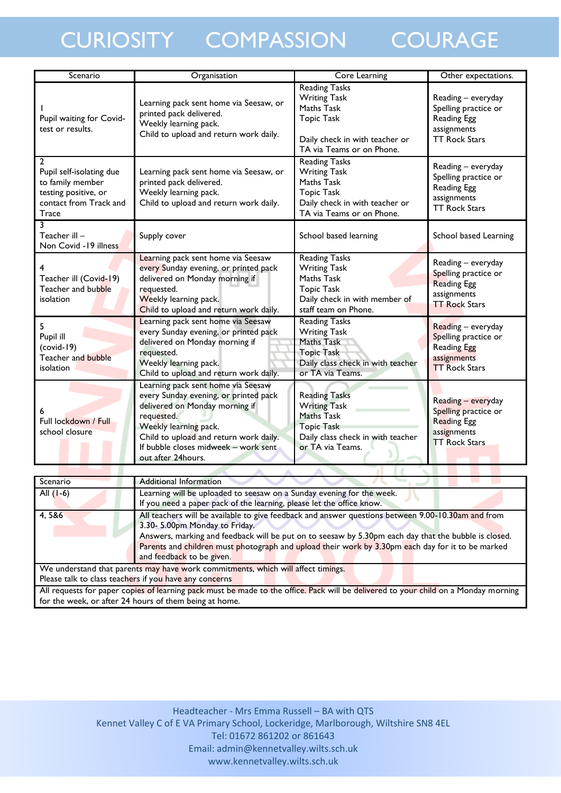# CURIOSITY COMPASSION COURAGE

| Scenario                                                                                                                         | Organisation                                                                                                                                                                                                                                                 | <b>Core Learning</b>                                                                                                                          | Other expectations.                                                                                     |
|----------------------------------------------------------------------------------------------------------------------------------|--------------------------------------------------------------------------------------------------------------------------------------------------------------------------------------------------------------------------------------------------------------|-----------------------------------------------------------------------------------------------------------------------------------------------|---------------------------------------------------------------------------------------------------------|
| Pupil waiting for Covid-<br>test or results.                                                                                     | Learning pack sent home via Seesaw, or<br>printed pack delivered.<br>Weekly learning pack.<br>Child to upload and return work daily.                                                                                                                         | <b>Reading Tasks</b><br><b>Writing Task</b><br>Maths Task<br><b>Topic Task</b><br>Daily check in with teacher or<br>TA via Teams or on Phone. | Reading - everyday<br>Spelling practice or<br>Reading Egg<br>assignments<br><b>TT Rock Stars</b>        |
| $\overline{2}$<br>Pupil self-isolating due<br>to family member<br>testing positive, or<br>contact from Track and<br><b>Trace</b> | Learning pack sent home via Seesaw, or<br>printed pack delivered.<br>Weekly learning pack.<br>Child to upload and return work daily.                                                                                                                         | <b>Reading Tasks</b><br><b>Writing Task</b><br>Maths Task<br><b>Topic Task</b><br>Daily check in with teacher or<br>TA via Teams or on Phone. | Reading - everyday<br>Spelling practice or<br>Reading Egg<br>assignments<br><b>TT Rock Stars</b>        |
| 3<br>Teacher ill –<br>Non Covid -19 illness                                                                                      | Supply cover                                                                                                                                                                                                                                                 | School based learning                                                                                                                         | School based Learning                                                                                   |
| Teacher ill (Covid-19)<br>Teacher and bubble<br>isolation                                                                        | Learning pack sent home via Seesaw<br>every Sunday evening, or printed pack<br>delivered on Monday morning if<br>requested.<br>Weekly learning pack.<br>Child to upload and return work daily.                                                               | <b>Reading Tasks</b><br><b>Writing Task</b><br>Maths Task<br><b>Topic Task</b><br>Daily check in with member of<br>staff team on Phone.       | Reading - everyday<br>Spelling practice or<br><b>Reading Egg</b><br>assignments<br><b>TT Rock Stars</b> |
| 5<br>Pupil ill<br>$(covid-19)$<br>Teacher and bubble<br>isolation                                                                | Learning pack sent home via Seesaw<br>every Sunday evening, or printed pack<br>delivered on Monday morning if<br>requested.<br>Weekly learning pack.<br>Child to upload and return work daily.                                                               | <b>Reading Tasks</b><br><b>Writing Task</b><br>Maths Task<br><b>Topic Task</b><br>Daily class check in with teacher<br>or TA via Teams.       | Reading - everyday<br>Spelling practice or<br>Reading Egg<br>assignments<br><b>TT Rock Stars</b>        |
| Full lockdown / Full<br>school closure                                                                                           | Learning pack sent home via Seesaw<br>every Sunday evening, or printed pack<br>delivered on Monday morning if<br>requested.<br>Weekly learning pack.<br>Child to upload and return work daily.<br>If bubble closes midweek - work sent<br>out after 24hours. | <b>Reading Tasks</b><br><b>Writing Task</b><br>Maths Task<br><b>Topic Task</b><br>Daily class check in with teacher<br>or TA via Teams.       | Reading - everyday<br>Spelling practice or<br>Reading Egg<br>assignments<br><b>TT Rock Stars</b>        |

| Scenario                                                                                                                            | Additional Information                                                                               |  |
|-------------------------------------------------------------------------------------------------------------------------------------|------------------------------------------------------------------------------------------------------|--|
|                                                                                                                                     |                                                                                                      |  |
| All $(1-6)$                                                                                                                         | Learning will be uploaded to seesaw on a Sunday evening for the week.                                |  |
|                                                                                                                                     | If you need a paper pack of the learning, please let the office know.                                |  |
| 4,5&6                                                                                                                               | All teachers will be available to give feedback and answer questions between 9.00-10.30am and from   |  |
|                                                                                                                                     | 3.30- 5.00pm Monday to Friday.                                                                       |  |
|                                                                                                                                     | Answers, marking and feedback will be put on to seesaw by 5.30pm each day that the bubble is closed. |  |
|                                                                                                                                     | Parents and children must photograph and upload their work by 3.30pm each day for it to be marked    |  |
|                                                                                                                                     | and feedback to be given.                                                                            |  |
| We understand that parents may have work commitments, which will affect timings.                                                    |                                                                                                      |  |
| Please talk to class teachers if you have any concerns                                                                              |                                                                                                      |  |
| All requests for paper copies of learning pack must be made to the office. Pack will be delivered to your child on a Monday morning |                                                                                                      |  |
| for the week, or after 24 hours of them being at home.                                                                              |                                                                                                      |  |

. .